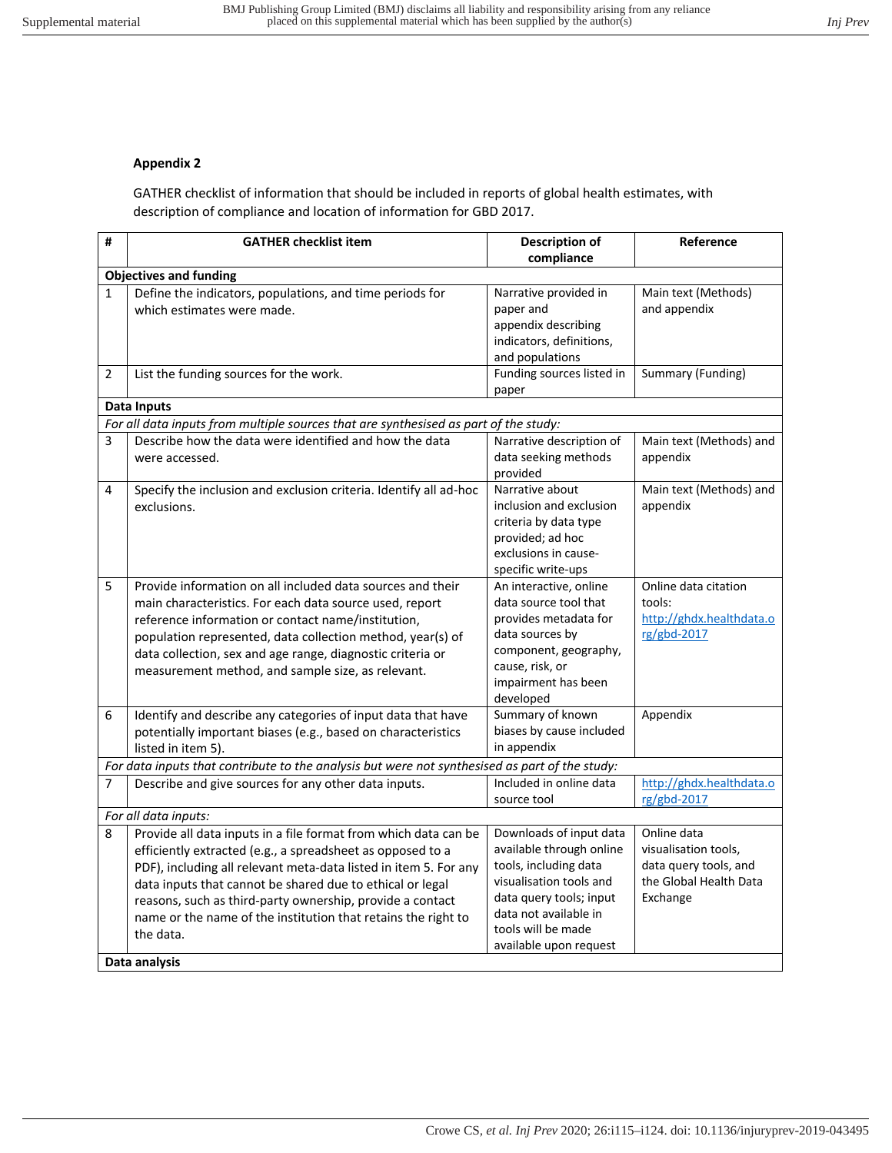## **Appendix 2**

GATHER checklist of information that should be included in reports of global health estimates, with description of compliance and location of information for GBD 2017.

| #                             | <b>GATHER checklist item</b>                                                                                                                                                                                                                                                                                                                                                                              | <b>Description of</b><br>compliance                                                                                                                                                                         | Reference                                                                                          |  |  |
|-------------------------------|-----------------------------------------------------------------------------------------------------------------------------------------------------------------------------------------------------------------------------------------------------------------------------------------------------------------------------------------------------------------------------------------------------------|-------------------------------------------------------------------------------------------------------------------------------------------------------------------------------------------------------------|----------------------------------------------------------------------------------------------------|--|--|
| <b>Objectives and funding</b> |                                                                                                                                                                                                                                                                                                                                                                                                           |                                                                                                                                                                                                             |                                                                                                    |  |  |
| $\mathbf{1}$                  | Define the indicators, populations, and time periods for<br>which estimates were made.                                                                                                                                                                                                                                                                                                                    | Narrative provided in<br>paper and<br>appendix describing<br>indicators, definitions,<br>and populations                                                                                                    | Main text (Methods)<br>and appendix                                                                |  |  |
| 2                             | List the funding sources for the work.                                                                                                                                                                                                                                                                                                                                                                    | Funding sources listed in<br>paper                                                                                                                                                                          | Summary (Funding)                                                                                  |  |  |
|                               | <b>Data Inputs</b>                                                                                                                                                                                                                                                                                                                                                                                        |                                                                                                                                                                                                             |                                                                                                    |  |  |
|                               | For all data inputs from multiple sources that are synthesised as part of the study:                                                                                                                                                                                                                                                                                                                      |                                                                                                                                                                                                             |                                                                                                    |  |  |
| 3                             | Describe how the data were identified and how the data<br>were accessed.                                                                                                                                                                                                                                                                                                                                  | Narrative description of<br>data seeking methods<br>provided                                                                                                                                                | Main text (Methods) and<br>appendix                                                                |  |  |
| 4                             | Specify the inclusion and exclusion criteria. Identify all ad-hoc<br>exclusions.                                                                                                                                                                                                                                                                                                                          | Narrative about<br>inclusion and exclusion<br>criteria by data type<br>provided; ad hoc<br>exclusions in cause-<br>specific write-ups                                                                       | Main text (Methods) and<br>appendix                                                                |  |  |
| 5                             | Provide information on all included data sources and their<br>main characteristics. For each data source used, report<br>reference information or contact name/institution,<br>population represented, data collection method, year(s) of<br>data collection, sex and age range, diagnostic criteria or<br>measurement method, and sample size, as relevant.                                              | An interactive, online<br>data source tool that<br>provides metadata for<br>data sources by<br>component, geography,<br>cause, risk, or<br>impairment has been<br>developed                                 | Online data citation<br>tools:<br>http://ghdx.healthdata.o<br>rg/gbd-2017                          |  |  |
| 6                             | Identify and describe any categories of input data that have<br>potentially important biases (e.g., based on characteristics<br>listed in item 5).                                                                                                                                                                                                                                                        | Summary of known<br>biases by cause included<br>in appendix                                                                                                                                                 | Appendix                                                                                           |  |  |
|                               | For data inputs that contribute to the analysis but were not synthesised as part of the study:                                                                                                                                                                                                                                                                                                            |                                                                                                                                                                                                             |                                                                                                    |  |  |
| $\overline{7}$                | Describe and give sources for any other data inputs.                                                                                                                                                                                                                                                                                                                                                      | Included in online data<br>source tool                                                                                                                                                                      | http://ghdx.healthdata.o<br>rg/gbd-2017                                                            |  |  |
| For all data inputs:          |                                                                                                                                                                                                                                                                                                                                                                                                           |                                                                                                                                                                                                             |                                                                                                    |  |  |
| 8                             | Provide all data inputs in a file format from which data can be<br>efficiently extracted (e.g., a spreadsheet as opposed to a<br>PDF), including all relevant meta-data listed in item 5. For any<br>data inputs that cannot be shared due to ethical or legal<br>reasons, such as third-party ownership, provide a contact<br>name or the name of the institution that retains the right to<br>the data. | Downloads of input data<br>available through online<br>tools, including data<br>visualisation tools and<br>data query tools; input<br>data not available in<br>tools will be made<br>available upon request | Online data<br>visualisation tools,<br>data query tools, and<br>the Global Health Data<br>Exchange |  |  |
|                               | Data analysis                                                                                                                                                                                                                                                                                                                                                                                             |                                                                                                                                                                                                             |                                                                                                    |  |  |